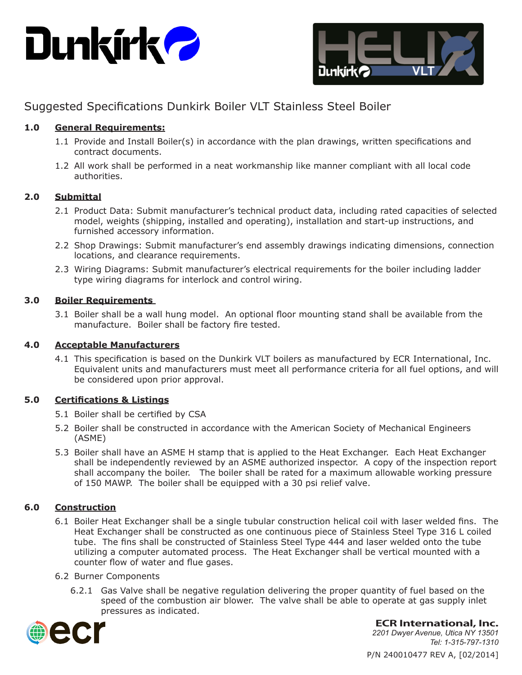



# Suggested Specifications Dunkirk Boiler VLT Stainless Steel Boiler

# **1.0 General Requirements:**

- 1.1 Provide and Install Boiler(s) in accordance with the plan drawings, written specifications and contract documents.
- 1.2 All work shall be performed in a neat workmanship like manner compliant with all local code authorities.

## **2.0 Submittal**

- 2.1 Product Data: Submit manufacturer's technical product data, including rated capacities of selected model, weights (shipping, installed and operating), installation and start-up instructions, and furnished accessory information.
- 2.2 Shop Drawings: Submit manufacturer's end assembly drawings indicating dimensions, connection locations, and clearance requirements.
- 2.3 Wiring Diagrams: Submit manufacturer's electrical requirements for the boiler including ladder type wiring diagrams for interlock and control wiring.

## **3.0 Boiler Requirements**

3.1 Boiler shall be a wall hung model. An optional floor mounting stand shall be available from the manufacture. Boiler shall be factory fire tested.

#### **4.0 Acceptable Manufacturers**

4.1 This specification is based on the Dunkirk VLT boilers as manufactured by ECR International, Inc. Equivalent units and manufacturers must meet all performance criteria for all fuel options, and will be considered upon prior approval.

# **5.0 Certifications & Listings**

- 5.1 Boiler shall be certified by CSA
- 5.2 Boiler shall be constructed in accordance with the American Society of Mechanical Engineers (ASME)
- 5.3 Boiler shall have an ASME H stamp that is applied to the Heat Exchanger. Each Heat Exchanger shall be independently reviewed by an ASME authorized inspector. A copy of the inspection report shall accompany the boiler. The boiler shall be rated for a maximum allowable working pressure of 150 MAWP. The boiler shall be equipped with a 30 psi relief valve.

# **6.0 Construction**

- 6.1 Boiler Heat Exchanger shall be a single tubular construction helical coil with laser welded fins. The Heat Exchanger shall be constructed as one continuous piece of Stainless Steel Type 316 L coiled tube. The fins shall be constructed of Stainless Steel Type 444 and laser welded onto the tube utilizing a computer automated process. The Heat Exchanger shall be vertical mounted with a counter flow of water and flue gases.
- 6.2 Burner Components
	- 6.2.1 Gas Valve shall be negative regulation delivering the proper quantity of fuel based on the speed of the combustion air blower. The valve shall be able to operate at gas supply inlet pressures as indicated.



**ECR International, Inc.**

P/N 240010477 REV A, [02/2014] *2201 Dwyer Avenue, Utica NY 13501 Tel: 1-315-797-1310*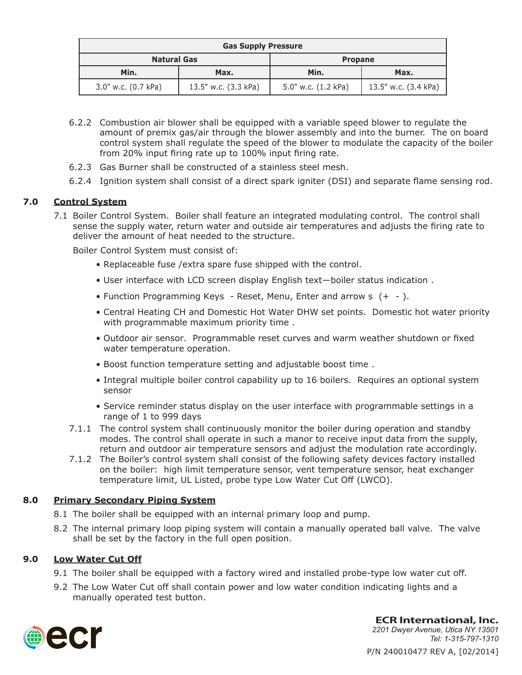| <b>Gas Supply Pressure</b> |                      |                     |                      |
|----------------------------|----------------------|---------------------|----------------------|
| <b>Natural Gas</b>         |                      | <b>Propane</b>      |                      |
| Min.                       | Max.                 | Min.                | Max.                 |
| 3.0" w.c. (0.7 kPa)        | 13.5" w.c. (3.3 kPa) | 5.0" w.c. (1.2 kPa) | 13.5" w.c. (3.4 kPa) |

- 6.2.2 Combustion air blower shall be equipped with a variable speed blower to regulate the amount of premix gas/air through the blower assembly and into the burner. The on board control system shall regulate the speed of the blower to modulate the capacity of the boiler from 20% input firing rate up to 100% input firing rate.
- 6.2.3 Gas Burner shall be constructed of a stainless steel mesh.
- 6.2.4 Ignition system shall consist of a direct spark igniter (DSI) and separate flame sensing rod.

# **7.0 Control System**

7.1 Boiler Control System. Boiler shall feature an integrated modulating control. The control shall sense the supply water, return water and outside air temperatures and adjusts the firing rate to deliver the amount of heat needed to the structure.

Boiler Control System must consist of:

- Replaceable fuse /extra spare fuse shipped with the control.
- User interface with LCD screen display English text—boiler status indication .
- Function Programming Keys Reset, Menu, Enter and arrow s (+ ).
- Central Heating CH and Domestic Hot Water DHW set points. Domestic hot water priority with programmable maximum priority time .
- Outdoor air sensor. Programmable reset curves and warm weather shutdown or fixed water temperature operation.
- Boost function temperature setting and adjustable boost time .
- Integral multiple boiler control capability up to 16 boilers. Requires an optional system sensor
- Service reminder status display on the user interface with programmable settings in a range of 1 to 999 days
- 7.1.1 The control system shall continuously monitor the boiler during operation and standby modes. The control shall operate in such a manor to receive input data from the supply, return and outdoor air temperature sensors and adjust the modulation rate accordingly.
- 7.1.2 The Boiler's control system shall consist of the following safety devices factory installed on the boiler: high limit temperature sensor, vent temperature sensor, heat exchanger temperature limit, UL Listed, probe type Low Water Cut Off (LWCO).

#### **8.0 Primary Secondary Piping System**

- 8.1 The boiler shall be equipped with an internal primary loop and pump.
- 8.2 The internal primary loop piping system will contain a manually operated ball valve. The valve shall be set by the factory in the full open position.

#### **9.0 Low Water Cut Off**

- 9.1 The boiler shall be equipped with a factory wired and installed probe-type low water cut off.
- 9.2 The Low Water Cut off shall contain power and low water condition indicating lights and a manually operated test button.



P/N 240010477 REV A, [02/2014] **ECR International, Inc.** *2201 Dwyer Avenue, Utica NY 13501 Tel: 1-315-797-1310*